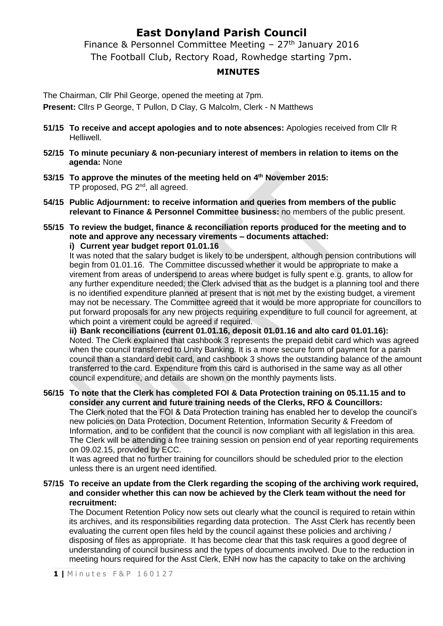# **East Donyland Parish Council**

Finance & Personnel Committee Meeting  $-27$ <sup>th</sup> January 2016 The Football Club, Rectory Road, Rowhedge starting 7pm.

### **MINUTES**

The Chairman, Cllr Phil George, opened the meeting at 7pm.

**Present:** Cllrs P George, T Pullon, D Clay, G Malcolm, Clerk - N Matthews

- **51/15 To receive and accept apologies and to note absences:** Apologies received from Cllr R Helliwell.
- **52/15 To minute pecuniary & non-pecuniary interest of members in relation to items on the agenda:** None
- **53/15 To approve the minutes of the meeting held on 4 th November 2015:** TP proposed, PG 2<sup>nd</sup>, all agreed.
- **54/15 Public Adjournment: to receive information and queries from members of the public relevant to Finance & Personnel Committee business:** no members of the public present.
- **55/15 To review the budget, finance & reconciliation reports produced for the meeting and to note and approve any necessary virements – documents attached:**

**i) Current year budget report 01.01.16**

It was noted that the salary budget is likely to be underspent, although pension contributions will begin from 01.01.16. The Committee discussed whether it would be appropriate to make a virement from areas of underspend to areas where budget is fully spent e.g. grants, to allow for any further expenditure needed; the Clerk advised that as the budget is a planning tool and there is no identified expenditure planned at present that is not met by the existing budget, a virement may not be necessary. The Committee agreed that it would be more appropriate for councillors to put forward proposals for any new projects requiring expenditure to full council for agreement, at which point a virement could be agreed if required.

**ii) Bank reconciliations (current 01.01.16, deposit 01.01.16 and alto card 01.01.16):**  Noted. The Clerk explained that cashbook 3 represents the prepaid debit card which was agreed when the council transferred to Unity Banking. It is a more secure form of payment for a parish council than a standard debit card, and cashbook 3 shows the outstanding balance of the amount transferred to the card. Expenditure from this card is authorised in the same way as all other council expenditure, and details are shown on the monthly payments lists.

**56/15 To note that the Clerk has completed FOI & Data Protection training on 05.11.15 and to consider any current and future training needs of the Clerks, RFO & Councillors:** The Clerk noted that the FOI & Data Protection training has enabled her to develop the council's new policies on Data Protection, Document Retention, Information Security & Freedom of Information, and to be confident that the council is now compliant with all legislation in this area. The Clerk will be attending a free training session on pension end of year reporting requirements on 09.02.15, provided by ECC.

It was agreed that no further training for councillors should be scheduled prior to the election unless there is an urgent need identified.

#### **57/15 To receive an update from the Clerk regarding the scoping of the archiving work required, and consider whether this can now be achieved by the Clerk team without the need for recruitment:**

The Document Retention Policy now sets out clearly what the council is required to retain within its archives, and its responsibilities regarding data protection. The Asst Clerk has recently been evaluating the current open files held by the council against these policies and archiving / disposing of files as appropriate. It has become clear that this task requires a good degree of understanding of council business and the types of documents involved. Due to the reduction in meeting hours required for the Asst Clerk, ENH now has the capacity to take on the archiving